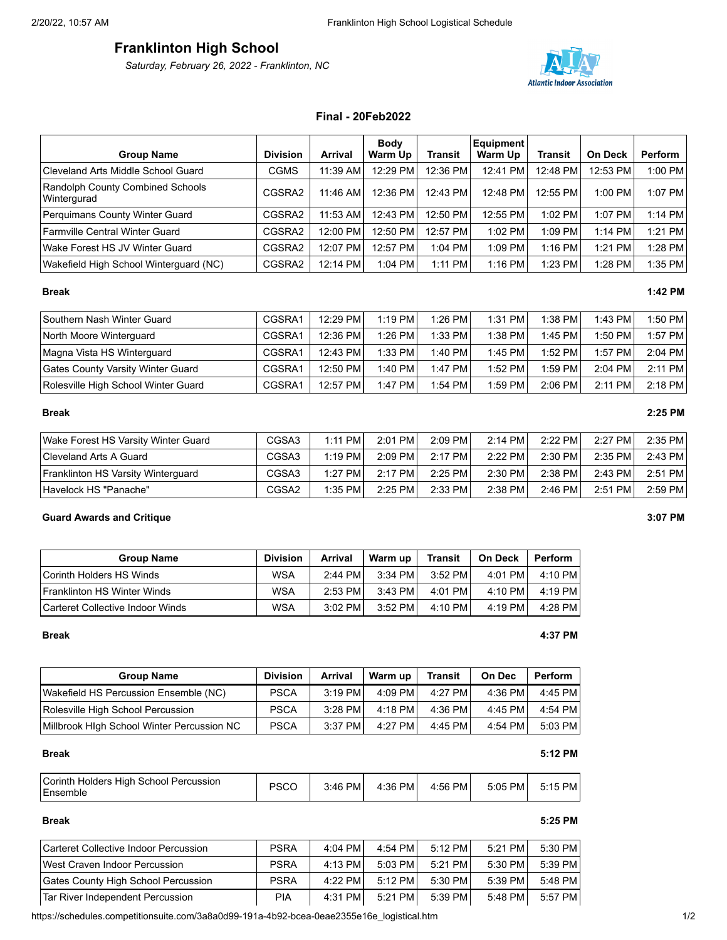# **Franklinton High School**

*Saturday, February 26, 2022 - Franklinton, NC*



# **Final - 20Feb2022**

|                                                 |                 |            | <b>Body</b> |           | <b>Equipment</b> |           |                |                |
|-------------------------------------------------|-----------------|------------|-------------|-----------|------------------|-----------|----------------|----------------|
| <b>Group Name</b>                               | <b>Division</b> | Arrival    | Warm Up     | Transit   | Warm Up          | Transit   | <b>On Deck</b> | <b>Perform</b> |
| Cleveland Arts Middle School Guard              | CGMS            | 11:39 AM   | 12:29 PM    | 12:36 PM  | 12:41 PM         | 12:48 PM  | 12:53 PM       | 1:00 PM        |
| Randolph County Combined Schools<br>Wintergurad | CGSRA2          | $11:46$ AM | 12:36 PM    | 12:43 PM  | 12:48 PM         | 12:55 PM  | $1:00$ PM      | 1:07 PM        |
| Perquimans County Winter Guard                  | CGSRA2          | $11:53$ AM | 12:43 PM    | 12:50 PM  | 12:55 PM         | $1:02$ PM | 1:07 PM        | 1:14 PM        |
| Farmville Central Winter Guard                  | CGSRA2          | 12:00 PM   | 12:50 PM    | 12:57 PM  | $1:02$ PM        | $1:09$ PM | $1:14$ PM      | 1:21 PM        |
| Wake Forest HS JV Winter Guard                  | CGSRA2          | 12:07 PM   | 12:57 PM    | 1:04 PM   | $1:09$ PM        | $1:16$ PM | 1:21 PM        | 1:28 PM        |
| Wakefield High School Winterguard (NC)          | CGSRA2          | 12:14 PM   | 1:04 PM     | $1:11$ PM | $1:16$ PM        | 1:23 PM   | 1:28 PM        | 1:35 PM        |

| Southern Nash Winter Guard               | CGSRA1 | 12:29 PM | $1:19$ PM | 1:26 PM  | $1:31$ PM | $1:38$ PM | $1:43$ PM | $1:50$ PM |
|------------------------------------------|--------|----------|-----------|----------|-----------|-----------|-----------|-----------|
| North Moore Winterguard                  | CGSRA1 | 12:36 PM | $1:26$ PM | 1:33 PM1 | $1:38$ PM | $1:45$ PM | $1:50$ PM | 1:57 PM   |
| Magna Vista HS Winterguard               | CGSRA1 | 12:43 PM | $1:33$ PM | 1:40 PM  | $1:45$ PM | $1:52$ PM | $1:57$ PM | $2:04$ PM |
| <b>Gates County Varsity Winter Guard</b> | CGSRA1 | 12:50 PM | $1:40$ PM | 1:47 PM  | $1:52$ PM | $1:59$ PM | $2:04$ PM | $2:11$ PM |
| Rolesville High School Winter Guard      | CGSRA1 | 12:57 PM | 1:47 PM   | 1:54 PM  | 1:59 PM   | 2:06 PM   | $2:11$ PM | $2:18$ PM |

### **Break 2:25 PM**

| Wake Forest HS Varsity Winter Guard       | CGSA3             | $1:11$ PM | $2:01$ PM | $2:09$ PM | $2:14$ PM | $2:22$ PM | $2:27$ PM | 2:35 PM   |
|-------------------------------------------|-------------------|-----------|-----------|-----------|-----------|-----------|-----------|-----------|
| Cleveland Arts A Guard                    | CGSA3             | $1:19$ PM | $2:09$ PM | $2:17$ PM | 2:22 PM   | 2:30 PM   | $2:35$ PM | $2:43$ PM |
| <b>Franklinton HS Varsity Winterquard</b> | CGSA3             | $1:27$ PM | $2:17$ PM | $2:25$ PM | 2:30 PM   | $2:38$ PM | 2:43 PM   | 2:51 PM   |
| Havelock HS "Panache"                     | CGSA <sub>2</sub> | $1:35$ PM | $2:25$ PM | 2:33 PM   | 2:38 PM   | $2:46$ PM | $2:51$ PM | $2:59$ PM |

# **Guard Awards and Critique 3:07 PM**

| <b>Group Name</b>                  | <b>Division</b> | <b>Arrival</b> | Warm up   | <b>Transit</b> | <b>On Deck</b> | <b>Perform</b> |
|------------------------------------|-----------------|----------------|-----------|----------------|----------------|----------------|
| Corinth Holders HS Winds           | <b>WSA</b>      | $2:44$ PM      | $3:34$ PM | 3:52 PM        | $4:01$ PM      | 4:10 PM        |
| <b>Franklinton HS Winter Winds</b> | <b>WSA</b>      | $2:53$ PM      | $3:43$ PM | 4:01 PM        | 4:10 PM        | 4:19 PM        |
| l Carteret Collective Indoor Winds | WSA             | $3:02$ PM      | $3:52$ PM | 4:10 PM        | 4:19 PM        | 4:28 PM        |

# **Group Name Division Arrival Warm up Transit On Dec Perform** Wakefield HS Percussion Ensemble (NC) PSCA 3:19 PM 4:09 PM 4:27 PM 4:36 PM 4:45 PM Rolesville High School Percussion | PSCA | 3:28 PM 4:18 PM 4:36 PM 4:45 PM 4:54 PM Millbrook HIgh School Winter Percussion NC | PSCA | 3:37 PM | 4:27 PM | 4:45 PM | 4:54 PM | 5:03 PM

### **Break 5:12 PM**

| Corinth Holders High School Percussion<br><b>Ensemble</b> | PSCO | 3:46 PM | 4:36 PM | 4:56 PM | 5:05 PM | 5:15 PM |
|-----------------------------------------------------------|------|---------|---------|---------|---------|---------|
|-----------------------------------------------------------|------|---------|---------|---------|---------|---------|

# Carteret Collective Indoor Percussion | PSRA | 4:04 PM | 4:54 PM | 5:12 PM | 5:21 PM | 5:30 PM West Craven Indoor Percussion | PSRA | 4:13 PM 5:03 PM 5:21 PM 5:30 PM 5:39 PM Gates County High School Percussion | PSRA | 4:22 PM 5:12 PM 5:30 PM 5:39 PM 5:48 PM Tar River Independent Percussion | PIA | 4:31 PM | 5:21 PM | 5:39 PM | 5:48 PM | 5:57 PM

https://schedules.competitionsuite.com/3a8a0d99-191a-4b92-bcea-0eae2355e16e\_logistical.htm 1/2

# **Break 1:42 PM**

# **Break 4:37 PM**

# **Break 5:25 PM**